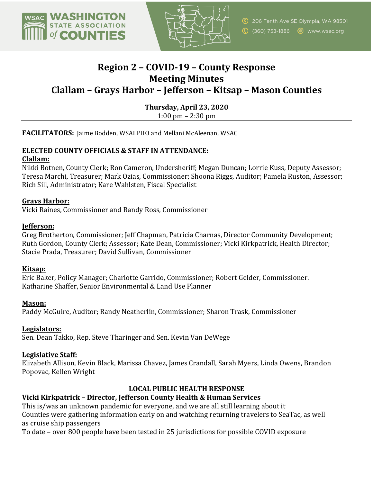



# **Region 2 – COVID-19 – County Response Meeting Minutes Clallam – Grays Harbor – Jefferson – Kitsap – Mason Counties**

**Thursday, April 23, 2020**  $1:00 \text{ pm} - 2:30 \text{ pm}$ 

**FACILITATORS:** Jaime Bodden, WSALPHO and Mellani McAleenan, WSAC

# **ELECTED COUNTY OFFICIALS & STAFF IN ATTENDANCE:**

#### **Clallam:**

Nikki Botnen, County Clerk; Ron Cameron, Undersheriff; Megan Duncan; Lorrie Kuss, Deputy Assessor; Teresa Marchi, Treasurer; Mark Ozias, Commissioner; Shoona Riggs, Auditor; Pamela Ruston, Assessor; Rich Sill, Administrator; Kare Wahlsten, Fiscal Specialist

#### **Grays Harbor:**

Vicki Raines, Commissioner and Randy Ross, Commissioner

#### **Jefferson:**

Greg Brotherton, Commissioner; Jeff Chapman, Patricia Charnas, Director Community Development; Ruth Gordon, County Clerk; Assessor; Kate Dean, Commissioner; Vicki Kirkpatrick, Health Director; Stacie Prada, Treasurer: David Sullivan, Commissioner

#### **Kitsap:**

Eric Baker, Policy Manager; Charlotte Garrido, Commissioner; Robert Gelder, Commissioner. Katharine Shaffer, Senior Environmental & Land Use Planner

#### **Mason:**

Paddy McGuire, Auditor; Randy Neatherlin, Commissioner; Sharon Trask, Commissioner

# **Legislators:**

Sen. Dean Takko, Rep. Steve Tharinger and Sen. Kevin Van DeWege

# **Legislative Staff:**

Elizabeth Allison, Kevin Black, Marissa Chavez, James Crandall, Sarah Myers, Linda Owens, Brandon Popovac, Kellen Wright

# **LOCAL PUBLIC HEALTH RESPONSE**

# **Vicki Kirkpatrick - Director, Jefferson County Health & Human Services**

This is/was an unknown pandemic for everyone, and we are all still learning about it Counties were gathering information early on and watching returning travelers to SeaTac, as well as cruise ship passengers

To date – over 800 people have been tested in 25 jurisdictions for possible COVID exposure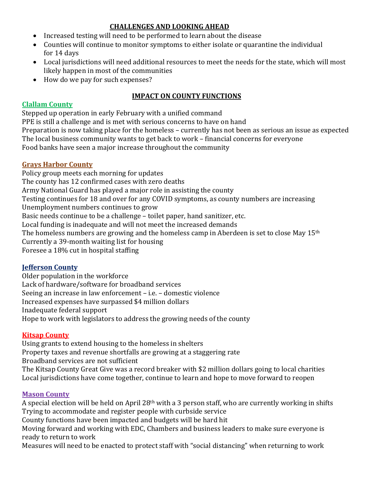# **CHALLENGES AND LOOKING AHEAD**

- Increased testing will need to be performed to learn about the disease
- Counties will continue to monitor symptoms to either isolate or quarantine the individual for 14 days
- Local jurisdictions will need additional resources to meet the needs for the state, which will most likely happen in most of the communities
- How do we pay for such expenses?

# **IMPACT ON COUNTY FUNCTIONS**

#### **Clallam County**

Stepped up operation in early February with a unified command

PPE is still a challenge and is met with serious concerns to have on hand Preparation is now taking place for the homeless - currently has not been as serious an issue as expected The local business community wants to get back to work – financial concerns for everyone Food banks have seen a major increase throughout the community

# **Grays Harbor County**

Policy group meets each morning for updates The county has 12 confirmed cases with zero deaths Army National Guard has played a major role in assisting the county Testing continues for 18 and over for any COVID symptoms, as county numbers are increasing Unemployment numbers continues to grow Basic needs continue to be a challenge – toilet paper, hand sanitizer, etc. Local funding is inadequate and will not meet the increased demands The homeless numbers are growing and the homeless camp in Aberdeen is set to close May 15<sup>th</sup> Currently a 39-month waiting list for housing Foresee a 18% cut in hospital staffing

# **Jefferson County**

Older population in the workforce Lack of hardware/software for broadband services Seeing an increase in law enforcement - i.e. - domestic violence Increased expenses have surpassed \$4 million dollars Inadequate federal support Hope to work with legislators to address the growing needs of the county

# **Kitsap County**

Using grants to extend housing to the homeless in shelters

Property taxes and revenue shortfalls are growing at a staggering rate

Broadband services are not sufficient

The Kitsap County Great Give was a record breaker with \$2 million dollars going to local charities Local jurisdictions have come together, continue to learn and hope to move forward to reopen

# **Mason County**

A special election will be held on April 28<sup>th</sup> with a 3 person staff, who are currently working in shifts Trying to accommodate and register people with curbside service County functions have been impacted and budgets will be hard hit Moving forward and working with EDC, Chambers and business leaders to make sure everyone is ready to return to work Measures will need to be enacted to protect staff with "social distancing" when returning to work